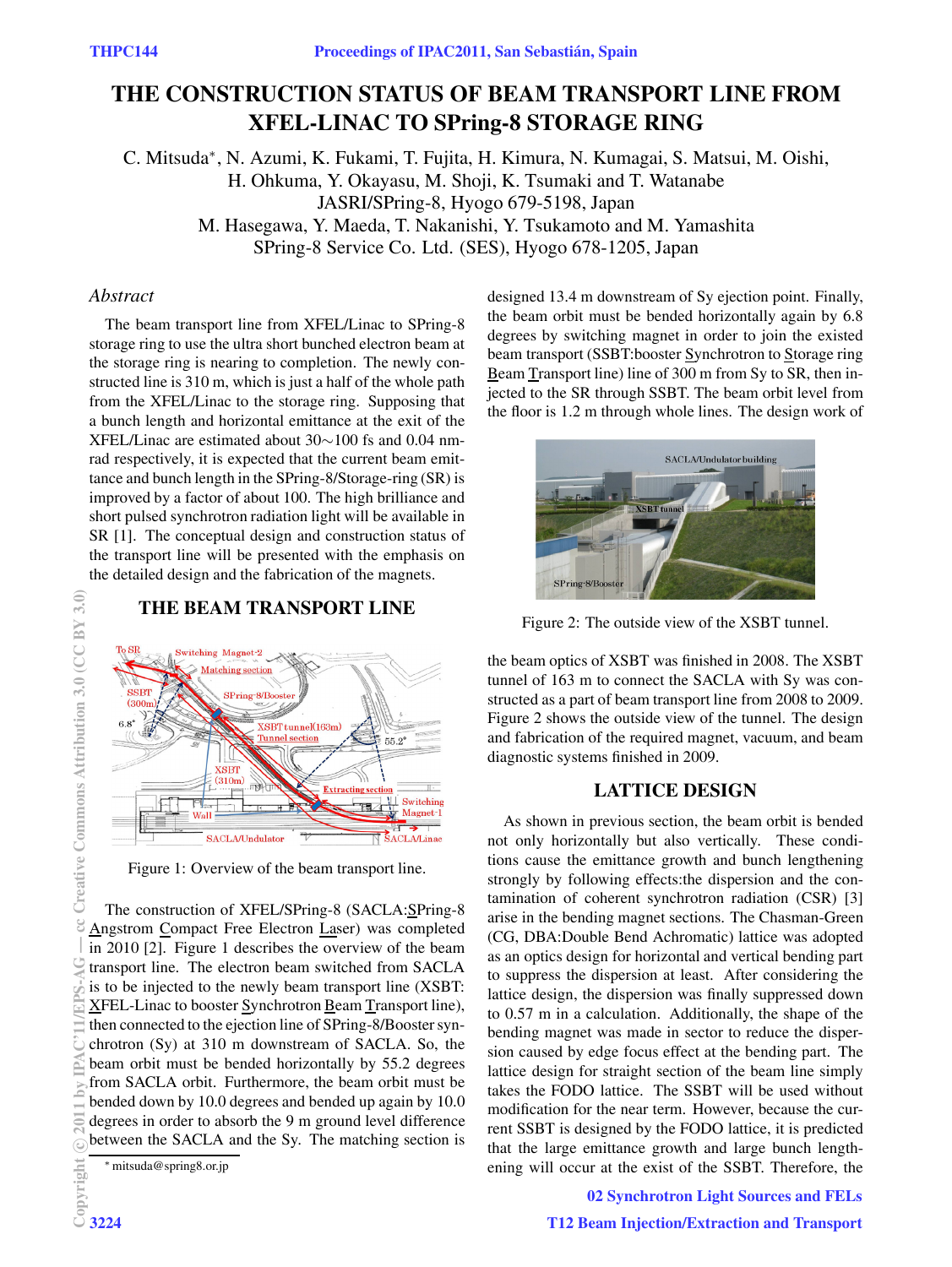# **THE CONSTRUCTION STATUS OF BEAM TRANSPORT LINE FROM XFEL-LINAC TO SPring-8 STORAGE RING**

C. Mitsuda∗, N. Azumi, K. Fukami, T. Fujita, H. Kimura, N. Kumagai, S. Matsui, M. Oishi, H. Ohkuma, Y. Okayasu, M. Shoji, K. Tsumaki and T. Watanabe JASRI/SPring-8, Hyogo 679-5198, Japan

M. Hasegawa, Y. Maeda, T. Nakanishi, Y. Tsukamoto and M. Yamashita SPring-8 Service Co. Ltd. (SES), Hyogo 678-1205, Japan

#### *Abstract*

The beam transport line from XFEL/Linac to SPring-8 storage ring to use the ultra short bunched electron beam at the storage ring is nearing to completion. The newly constructed line is 310 m, which is just a half of the whole path from the XFEL/Linac to the storage ring. Supposing that a bunch length and horizontal emittance at the exit of the XFEL/Linac are estimated about 30∼100 fs and 0.04 nmrad respectively, it is expected that the current beam emittance and bunch length in the SPring-8/Storage-ring (SR) is improved by a factor of about 100. The high brilliance and short pulsed synchrotron radiation light will be available in SR [1]. The conceptual design and construction status of the transport line will be presented with the emphasis on the detailed design and the fabrication of the magnets.

## **THE BEAM TRANSPORT LINE**



Figure 1: Overview of the beam transport line.

The construction of XFEL/SPring-8 (SACLA:SPring-8 Angstrom Compact Free Electron Laser) was completed in 2010 [2]. Figure 1 describes the overview of the beam transport line. The electron beam switched from SACLA is to be injected to the newly beam transport line (XSBT: XFEL-Linac to booster Synchrotron Beam Transport line), then connected to the ejection line of SPring-8/Booster synchrotron (Sy) at 310 m downstream of SACLA. So, the beam orbit must be bended horizontally by 55.2 degrees from SACLA orbit. Furthermore, the beam orbit must be bended down by 10.0 degrees and bended up again by 10.0 degrees in order to absorb the 9 m ground level difference between the SACLA and the Sy. The matching section is

∗mitsuda@spring8.or.jp

designed 13.4 m downstream of Sy ejection point. Finally, the beam orbit must be bended horizontally again by 6.8 degrees by switching magnet in order to join the existed beam transport (SSBT:booster Synchrotron to Storage ring Beam Transport line) line of 300 m from Sy to SR, then injected to the SR through SSBT. The beam orbit level from the floor is 1.2 m through whole lines. The design work of



Figure 2: The outside view of the XSBT tunnel.

the beam optics of XSBT was finished in 2008. The XSBT tunnel of 163 m to connect the SACLA with Sy was constructed as a part of beam transport line from 2008 to 2009. Figure 2 shows the outside view of the tunnel. The design and fabrication of the required magnet, vacuum, and beam diagnostic systems finished in 2009.

#### **LATTICE DESIGN**

As shown in previous section, the beam orbit is bended not only horizontally but also vertically. These conditions cause the emittance growth and bunch lengthening strongly by following effects:the dispersion and the contamination of coherent synchrotron radiation (CSR) [3] arise in the bending magnet sections. The Chasman-Green (CG, DBA:Double Bend Achromatic) lattice was adopted as an optics design for horizontal and vertical bending part to suppress the dispersion at least. After considering the lattice design, the dispersion was finally suppressed down to 0.57 m in a calculation. Additionally, the shape of the bending magnet was made in sector to reduce the dispersion caused by edge focus effect at the bending part. The lattice design for straight section of the beam line simply takes the FODO lattice. The SSBT will be used without modification for the near term. However, because the current SSBT is designed by the FODO lattice, it is predicted that the large emittance growth and large bunch lengthening will occur at the exist of the SSBT. Therefore, the

> 02 Synchrotron Light Sources and FELs T12 Beam Injection/Extraction and Transport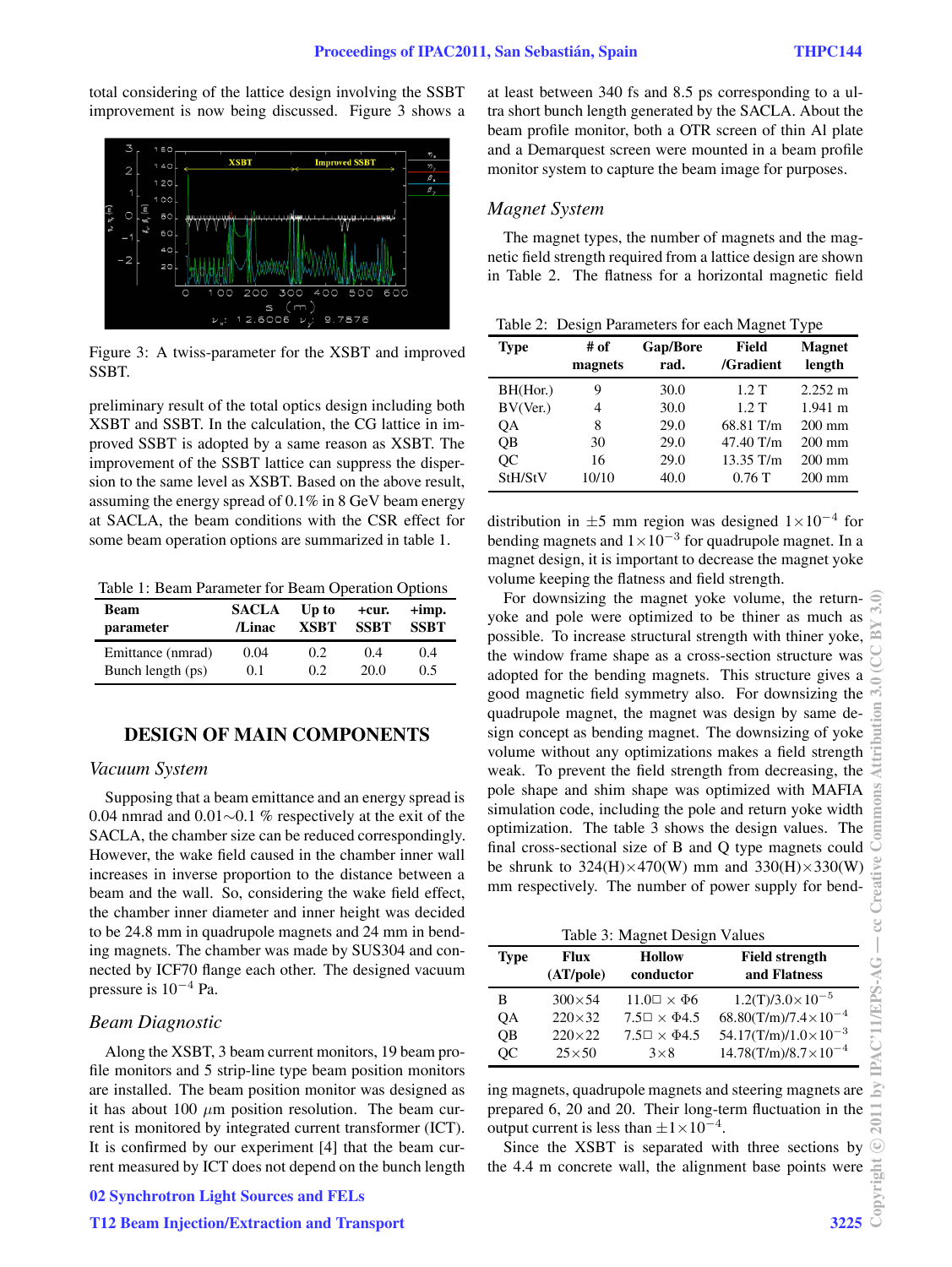total considering of the lattice design involving the SSBT improvement is now being discussed. Figure 3 shows a



Figure 3: A twiss-parameter for the XSBT and improved SSBT.

preliminary result of the total optics design including both XSBT and SSBT. In the calculation, the CG lattice in improved SSBT is adopted by a same reason as XSBT. The improvement of the SSBT lattice can suppress the dispersion to the same level as XSBT. Based on the above result, assuming the energy spread of 0.1% in 8 GeV beam energy at SACLA, the beam conditions with the CSR effect for some beam operation options are summarized in table 1.

Table 1: Beam Parameter for Beam Operation Options

| <b>Beam</b>       | <b>SACLA</b> | Up to       | +cur.       | $+imp.$     |
|-------------------|--------------|-------------|-------------|-------------|
| parameter         | /Linac       | <b>XSBT</b> | <b>SSRT</b> | <b>SSBT</b> |
| Emittance (nmrad) | 0.04         | 0.2         | 0.4         | 0.4         |
| Bunch length (ps) | 0.1          | 0.2         | 20.0        | 0.5         |

## **DESIGN OF MAIN COMPONENTS**

#### *Vacuum System*

Supposing that a beam emittance and an energy spread is 0.04 nmrad and 0.01∼0.1 % respectively at the exit of the SACLA, the chamber size can be reduced correspondingly. However, the wake field caused in the chamber inner wall increases in inverse proportion to the distance between a beam and the wall. So, considering the wake field effect, the chamber inner diameter and inner height was decided to be 24.8 mm in quadrupole magnets and 24 mm in bending magnets. The chamber was made by SUS304 and connected by ICF70 flange each other. The designed vacuum pressure is 10*−*<sup>4</sup> Pa.

#### *Beam Diagnostic*

Along the XSBT, 3 beam current monitors, 19 beam profile monitors and 5 strip-line type beam position monitors are installed. The beam position monitor was designed as it has about 100  $\mu$ m position resolution. The beam current is monitored by integrated current transformer (ICT). It is confirmed by our experiment [4] that the beam current measured by ICT does not depend on the bunch length at least between 340 fs and 8.5 ps corresponding to a ultra short bunch length generated by the SACLA. About the beam profile monitor, both a OTR screen of thin Al plate and a Demarquest screen were mounted in a beam profile monitor system to capture the beam image for purposes.

#### *Magnet System*

The magnet types, the number of magnets and the magnetic field strength required from a lattice design are shown in Table 2. The flatness for a horizontal magnetic field

|  |  | Table 2: Design Parameters for each Magnet Type |  |  |  |  |
|--|--|-------------------------------------------------|--|--|--|--|
|--|--|-------------------------------------------------|--|--|--|--|

| raoic $\omega$ . Design I alameters for each magnet 1 ypc |                 |                  |                    |                         |  |
|-----------------------------------------------------------|-----------------|------------------|--------------------|-------------------------|--|
| <b>Type</b>                                               | # of<br>magnets | Gap/Bore<br>rad. | Field<br>/Gradient | <b>Magnet</b><br>length |  |
| BH(Hor.)                                                  | 9               | 30.0             | 1.2T               | $2.252 \text{ m}$       |  |
| BV(Ver.)                                                  | 4               | 30.0             | 1.2T               | $1.941 \text{ m}$       |  |
| QA                                                        | 8               | 29.0             | 68.81 T/m          | $200$ mm                |  |
| QB                                                        | 30              | 29.0             | 47.40 T/m          | $200$ mm                |  |
| QC                                                        | 16              | 29.0             | 13.35 T/m          | $200$ mm                |  |
| StH/StV                                                   | 10/10           | 40.0             | 0.76T              | $200$ mm                |  |

distribution in <sup>±</sup>5 mm region was designed 1×10*−*<sup>4</sup> for bending magnets and 1×10*−*<sup>3</sup> for quadrupole magnet. In a magnet design, it is important to decrease the magnet yoke volume keeping the flatness and field strength.

For downsizing the magnet yoke volume, the returnyoke and pole were optimized to be thiner as much as possible. To increase structural strength with thiner yoke, the window frame shape as a cross-section structure was adopted for the bending magnets. This structure gives a good magnetic field symmetry also. For downsizing the quadrupole magnet, the magnet was design by same design concept as bending magnet. The downsizing of yoke volume without any optimizations makes a field strength weak. To prevent the field strength from decreasing, the pole shape and shim shape was optimized with MAFIA simulation code, including the pole and return yoke width optimization. The table 3 shows the design values. The final cross-sectional size of B and Q type magnets could be shrunk to  $324(H)\times470(W)$  mm and  $330(H)\times330(W)$ mm respectively. The number of power supply for bend-

| Table 3: Magnet Design Values |                   |                              |                                       |  |
|-------------------------------|-------------------|------------------------------|---------------------------------------|--|
| <b>Type</b>                   | Flux<br>(AT/pole) | <b>Hollow</b><br>conductor   | <b>Field strength</b><br>and Flatness |  |
| в                             | $300\times 54$    | $11.0 \square \times \Phi 6$ | $1.2(T)/3.0 \times 10^{-5}$           |  |
| ОA                            | $220\times32$     | $7.5\Box \times \Phi 4.5$    | $68.80(T/m)/7.4\times10^{-4}$         |  |
| <b>OB</b>                     | $220\times22$     | $7.5\Box \times \Phi 4.5$    | $54.17(T/m)/1.0\times10^{-3}$         |  |
| OС                            | $25\times50$      | $3\times8$                   | $14.78(T/m)/8.7 \times 10^{-4}$       |  |

ing magnets, quadrupole magnets and steering magnets are prepared 6, 20 and 20. Their long-term fluctuation in the output current is less than <sup>±</sup>1×10*−*<sup>4</sup>.

Since the XSBT is separated with three sections by the 4.4 m concrete wall, the alignment base points were